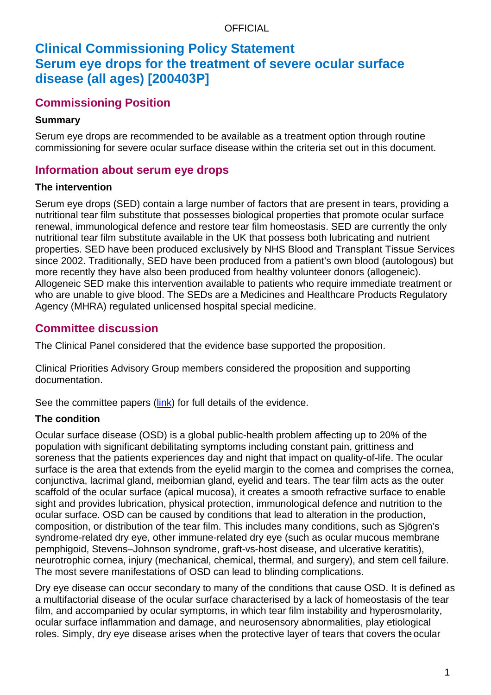# **Clinical Commissioning Policy Statement Serum eye drops for the treatment of severe ocular surface disease (all ages) [200403P]**

## **Commissioning Position**

## **Summary**

Serum eye drops are recommended to be available as a treatment option through routine commissioning for severe ocular surface disease within the criteria set out in this document.

## **Information about serum eye drops**

### **The intervention**

Serum eye drops (SED) contain a large number of factors that are present in tears, providing a nutritional tear film substitute that possesses biological properties that promote ocular surface renewal, immunological defence and restore tear film homeostasis. SED are currently the only nutritional tear film substitute available in the UK that possess both lubricating and nutrient properties. SED have been produced exclusively by NHS Blood and Transplant Tissue Services since 2002. Traditionally, SED have been produced from a patient's own blood (autologous) but more recently they have also been produced from healthy volunteer donors (allogeneic). Allogeneic SED make this intervention available to patients who require immediate treatment or who are unable to give blood. The SEDs are a Medicines and Healthcare Products Regulatory Agency (MHRA) regulated unlicensed hospital special medicine.

## **Committee discussion**

The Clinical Panel considered that the evidence base supported the proposition.

Clinical Priorities Advisory Group members considered the proposition and supporting documentation.

See the committee papers [\(link\)](https://www.england.nhs.uk/publication/serum-eye-drops-for-the-treatment-of-severe-ocular-surface-disease-all-ages/) for full details of the evidence.

### **The condition**

Ocular surface disease (OSD) is a global public-health problem affecting up to 20% of the population with significant debilitating symptoms including constant pain, grittiness and soreness that the patients experiences day and night that impact on quality-of-life. The ocular surface is the area that extends from the eyelid margin to the cornea and comprises the cornea, conjunctiva, lacrimal gland, meibomian gland, eyelid and tears. The tear film acts as the outer scaffold of the ocular surface (apical mucosa), it creates a smooth refractive surface to enable sight and provides lubrication, physical protection, immunological defence and nutrition to the ocular surface. OSD can be caused by conditions that lead to alteration in the production, composition, or distribution of the tear film. This includes many conditions, such as Sjögren's syndrome-related dry eye, other immune-related dry eye (such as ocular mucous membrane pemphigoid, Stevens–Johnson syndrome, graft-vs-host disease, and ulcerative keratitis), neurotrophic cornea, injury (mechanical, chemical, thermal, and surgery), and stem cell failure. The most severe manifestations of OSD can lead to blinding complications.

Dry eye disease can occur secondary to many of the conditions that cause OSD. It is defined as a multifactorial disease of the ocular surface characterised by a lack of homeostasis of the tear film, and accompanied by ocular symptoms, in which tear film instability and hyperosmolarity, ocular surface inflammation and damage, and neurosensory abnormalities, play etiological roles. Simply, dry eye disease arises when the protective layer of tears that covers the ocular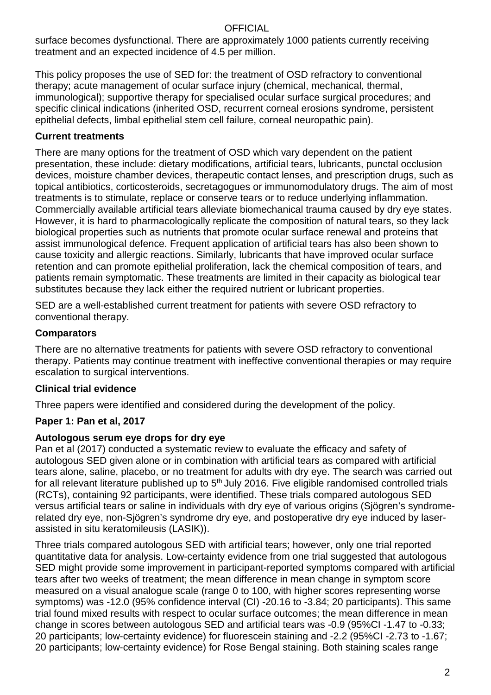surface becomes dysfunctional. There are approximately 1000 patients currently receiving treatment and an expected incidence of 4.5 per million.

This policy proposes the use of SED for: the treatment of OSD refractory to conventional therapy; acute management of ocular surface injury (chemical, mechanical, thermal, immunological); supportive therapy for specialised ocular surface surgical procedures; and specific clinical indications (inherited OSD, recurrent corneal erosions syndrome, persistent epithelial defects, limbal epithelial stem cell failure, corneal neuropathic pain).

## **Current treatments**

There are many options for the treatment of OSD which vary dependent on the patient presentation, these include: dietary modifications, artificial tears, lubricants, punctal occlusion devices, moisture chamber devices, therapeutic contact lenses, and prescription drugs, such as topical antibiotics, corticosteroids, secretagogues or immunomodulatory drugs. The aim of most treatments is to stimulate, replace or conserve tears or to reduce underlying inflammation. Commercially available artificial tears alleviate biomechanical trauma caused by dry eye states. However, it is hard to pharmacologically replicate the composition of natural tears, so they lack biological properties such as nutrients that promote ocular surface renewal and proteins that assist immunological defence. Frequent application of artificial tears has also been shown to cause toxicity and allergic reactions. Similarly, lubricants that have improved ocular surface retention and can promote epithelial proliferation, lack the chemical composition of tears, and patients remain symptomatic. These treatments are limited in their capacity as biological tear substitutes because they lack either the required nutrient or lubricant properties.

SED are a well-established current treatment for patients with severe OSD refractory to conventional therapy.

### **Comparators**

There are no alternative treatments for patients with severe OSD refractory to conventional therapy. Patients may continue treatment with ineffective conventional therapies or may require escalation to surgical interventions.

### **Clinical trial evidence**

Three papers were identified and considered during the development of the policy.

## **Paper 1: Pan et al, 2017**

### **Autologous serum eye drops for dry eye**

Pan et al (2017) conducted a systematic review to evaluate the efficacy and safety of autologous SED given alone or in combination with artificial tears as compared with artificial tears alone, saline, placebo, or no treatment for adults with dry eye. The search was carried out for all relevant literature published up to  $5<sup>th</sup>$  July 2016. Five eligible randomised controlled trials (RCTs), containing 92 participants, were identified. These trials compared autologous SED versus artificial tears or saline in individuals with dry eye of various origins (Sjögren's syndromerelated dry eye, non-Sjögren's syndrome dry eye, and postoperative dry eye induced by laserassisted in situ keratomileusis (LASIK)).

Three trials compared autologous SED with artificial tears; however, only one trial reported quantitative data for analysis. Low-certainty evidence from one trial suggested that autologous SED might provide some improvement in participant-reported symptoms compared with artificial tears after two weeks of treatment; the mean difference in mean change in symptom score measured on a visual analogue scale (range 0 to 100, with higher scores representing worse symptoms) was -12.0 (95% confidence interval (CI) -20.16 to -3.84; 20 participants). This same trial found mixed results with respect to ocular surface outcomes; the mean difference in mean change in scores between autologous SED and artificial tears was -0.9 (95%CI -1.47 to -0.33; 20 participants; low-certainty evidence) for fluorescein staining and -2.2 (95%CI -2.73 to -1.67; 20 participants; low-certainty evidence) for Rose Bengal staining. Both staining scales range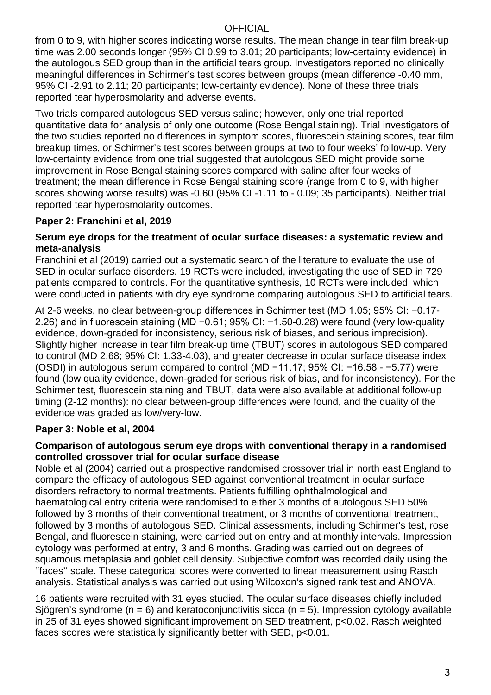from 0 to 9, with higher scores indicating worse results. The mean change in tear film break-up time was 2.00 seconds longer (95% CI 0.99 to 3.01; 20 participants; low-certainty evidence) in the autologous SED group than in the artificial tears group. Investigators reported no clinically meaningful differences in Schirmer's test scores between groups (mean difference -0.40 mm, 95% CI -2.91 to 2.11; 20 participants; low-certainty evidence). None of these three trials reported tear hyperosmolarity and adverse events.

Two trials compared autologous SED versus saline; however, only one trial reported quantitative data for analysis of only one outcome (Rose Bengal staining). Trial investigators of the two studies reported no differences in symptom scores, fluorescein staining scores, tear film breakup times, or Schirmer's test scores between groups at two to four weeks' follow-up. Very low-certainty evidence from one trial suggested that autologous SED might provide some improvement in Rose Bengal staining scores compared with saline after four weeks of treatment; the mean difference in Rose Bengal staining score (range from 0 to 9, with higher scores showing worse results) was -0.60 (95% CI -1.11 to - 0.09; 35 participants). Neither trial reported tear hyperosmolarity outcomes.

## **Paper 2: Franchini et al, 2019**

#### **Serum eye drops for the treatment of ocular surface diseases: a systematic review and meta-analysis**

Franchini et al (2019) carried out a systematic search of the literature to evaluate the use of SED in ocular surface disorders. 19 RCTs were included, investigating the use of SED in 729 patients compared to controls. For the quantitative synthesis, 10 RCTs were included, which were conducted in patients with dry eye syndrome comparing autologous SED to artificial tears.

At 2-6 weeks, no clear between-group differences in Schirmer test (MD 1.05; 95% CI: −0.17- 2.26) and in fluorescein staining (MD −0.61; 95% CI: −1.50-0.28) were found (very low-quality evidence, down-graded for inconsistency, serious risk of biases, and serious imprecision). Slightly higher increase in tear film break-up time (TBUT) scores in autologous SED compared to control (MD 2.68; 95% CI: 1.33-4.03), and greater decrease in ocular surface disease index (OSDI) in autologous serum compared to control (MD −11.17; 95% CI: −16.58 - −5.77) were found (low quality evidence, down-graded for serious risk of bias, and for inconsistency). For the Schirmer test, fluorescein staining and TBUT, data were also available at additional follow-up timing (2-12 months): no clear between-group differences were found, and the quality of the evidence was graded as low/very-low.

### **Paper 3: Noble et al, 2004**

#### **Comparison of autologous serum eye drops with conventional therapy in a randomised controlled crossover trial for ocular surface disease**

Noble et al (2004) carried out a prospective randomised crossover trial in north east England to compare the efficacy of autologous SED against conventional treatment in ocular surface disorders refractory to normal treatments. Patients fulfilling ophthalmological and haematological entry criteria were randomised to either 3 months of autologous SED 50% followed by 3 months of their conventional treatment, or 3 months of conventional treatment, followed by 3 months of autologous SED. Clinical assessments, including Schirmer's test, rose Bengal, and fluorescein staining, were carried out on entry and at monthly intervals. Impression cytology was performed at entry, 3 and 6 months. Grading was carried out on degrees of squamous metaplasia and goblet cell density. Subjective comfort was recorded daily using the ''faces'' scale. These categorical scores were converted to linear measurement using Rasch analysis. Statistical analysis was carried out using Wilcoxon's signed rank test and ANOVA.

16 patients were recruited with 31 eyes studied. The ocular surface diseases chiefly included Sjögren's syndrome ( $n = 6$ ) and keratoconjunctivitis sicca ( $n = 5$ ). Impression cytology available in 25 of 31 eyes showed significant improvement on SED treatment, p<0.02. Rasch weighted faces scores were statistically significantly better with SED, p<0.01.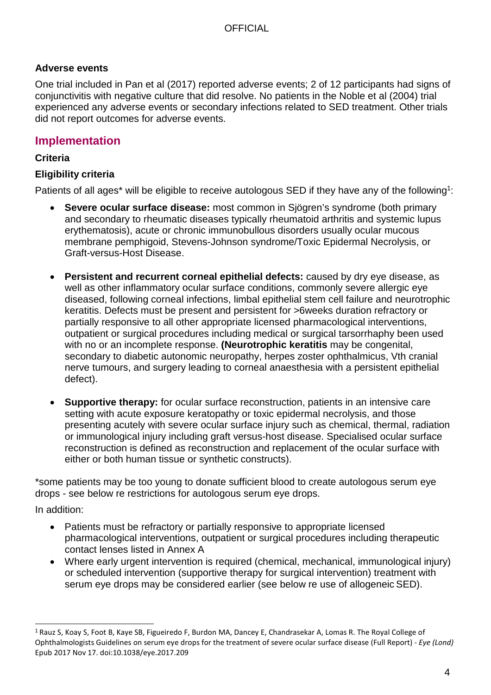## **Adverse events**

One trial included in Pan et al (2017) reported adverse events; 2 of 12 participants had signs of conjunctivitis with negative culture that did resolve. No patients in the Noble et al (2004) trial experienced any adverse events or secondary infections related to SED treatment. Other trials did not report outcomes for adverse events.

## **Implementation**

## **Criteria**

## **Eligibility criteria**

Patients of all ages<sup>\*</sup> will be eligible to receive autologous SED if they have any of the following<sup>1</sup>:

- **Severe ocular surface disease:** most common in Sjögren's syndrome (both primary and secondary to rheumatic diseases typically rheumatoid arthritis and systemic lupus erythematosis), acute or chronic immunobullous disorders usually ocular mucous membrane pemphigoid, Stevens-Johnson syndrome/Toxic Epidermal Necrolysis, or Graft-versus-Host Disease.
- **Persistent and recurrent corneal epithelial defects:** caused by dry eye disease, as well as other inflammatory ocular surface conditions, commonly severe allergic eye diseased, following corneal infections, limbal epithelial stem cell failure and neurotrophic keratitis. Defects must be present and persistent for >6weeks duration refractory or partially responsive to all other appropriate licensed pharmacological interventions, outpatient or surgical procedures including medical or surgical tarsorrhaphy been used with no or an incomplete response. **(Neurotrophic keratitis** may be congenital, secondary to diabetic autonomic neuropathy, herpes zoster ophthalmicus, Vth cranial nerve tumours, and surgery leading to corneal anaesthesia with a persistent epithelial defect).
- **Supportive therapy:** for ocular surface reconstruction, patients in an intensive care setting with acute exposure keratopathy or toxic epidermal necrolysis, and those presenting acutely with severe ocular surface injury such as chemical, thermal, radiation or immunological injury including graft versus-host disease. Specialised ocular surface reconstruction is defined as reconstruction and replacement of the ocular surface with either or both human tissue or synthetic constructs).

\*some patients may be too young to donate sufficient blood to create autologous serum eye drops - see below re restrictions for autologous serum eye drops.

In addition:

- Patients must be refractory or partially responsive to appropriate licensed pharmacological interventions, outpatient or surgical procedures including therapeutic contact lenses listed in Annex A
- Where early urgent intervention is required (chemical, mechanical, immunological injury) or scheduled intervention (supportive therapy for surgical intervention) treatment with serum eye drops may be considered earlier (see below re use of allogeneic SED).

<span id="page-3-0"></span><sup>1</sup>Rauz S, Koay S, Foot B, Kaye SB, Figueiredo F, Burdon MA, Dancey E, Chandrasekar A, Lomas R. The Royal College of Ophthalmologists Guidelines on serum eye drops for the treatment of severe ocular surface disease (Full Report) - *Eye (Lond)*  Epub 2017 Nov 17. doi:10.1038/eye.2017.209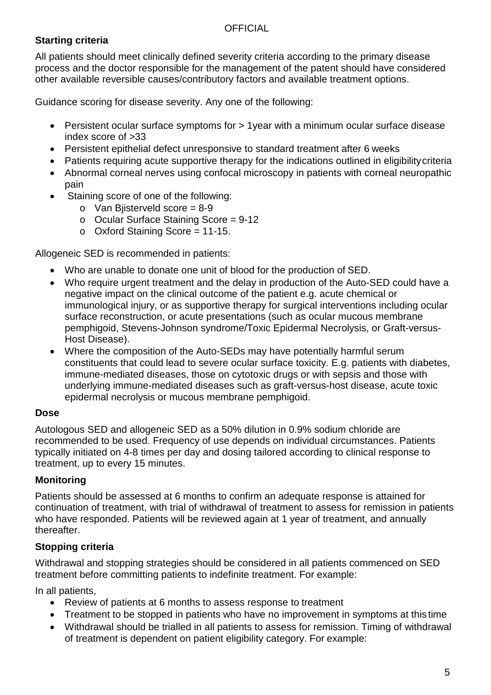## **Starting criteria**

All patients should meet clinically defined severity criteria according to the primary disease process and the doctor responsible for the management of the patent should have considered other available reversible causes/contributory factors and available treatment options.

Guidance scoring for disease severity. Any one of the following:

- Persistent ocular surface symptoms for > 1 year with a minimum ocular surface disease index score of >33
- Persistent epithelial defect unresponsive to standard treatment after 6 weeks
- Patients requiring acute supportive therapy for the indications outlined in eligibility criteria
- Abnormal corneal nerves using confocal microscopy in patients with corneal neuropathic pain
- Staining score of one of the following:
	- $\circ$  Van Bijsterveld score = 8-9
	- o Ocular Surface Staining Score = 9-12
	- $\circ$  Oxford Staining Score = 11-15.

Allogeneic SED is recommended in patients:

- Who are unable to donate one unit of blood for the production of SED.
- Who require urgent treatment and the delay in production of the Auto-SED could have a negative impact on the clinical outcome of the patient e.g. acute chemical or immunological injury, or as supportive therapy for surgical interventions including ocular surface reconstruction, or acute presentations (such as ocular mucous membrane pemphigoid, Stevens-Johnson syndrome/Toxic Epidermal Necrolysis, or Graft-versus-Host Disease).
- Where the composition of the Auto-SEDs may have potentially harmful serum constituents that could lead to severe ocular surface toxicity. E.g. patients with diabetes, immune-mediated diseases, those on cytotoxic drugs or with sepsis and those with underlying immune-mediated diseases such as graft-versus-host disease, acute toxic epidermal necrolysis or mucous membrane pemphigoid.

### **Dose**

Autologous SED and allogeneic SED as a 50% dilution in 0.9% sodium chloride are recommended to be used. Frequency of use depends on individual circumstances. Patients typically initiated on 4-8 times per day and dosing tailored according to clinical response to treatment, up to every 15 minutes.

## **Monitoring**

Patients should be assessed at 6 months to confirm an adequate response is attained for continuation of treatment, with trial of withdrawal of treatment to assess for remission in patients who have responded. Patients will be reviewed again at 1 year of treatment, and annually thereafter.

## **Stopping criteria**

Withdrawal and stopping strategies should be considered in all patients commenced on SED treatment before committing patients to indefinite treatment. For example:

In all patients,

- Review of patients at 6 months to assess response to treatment
- Treatment to be stopped in patients who have no improvement in symptoms at this time
- Withdrawal should be trialled in all patients to assess for remission. Timing of withdrawal of treatment is dependent on patient eligibility category. For example: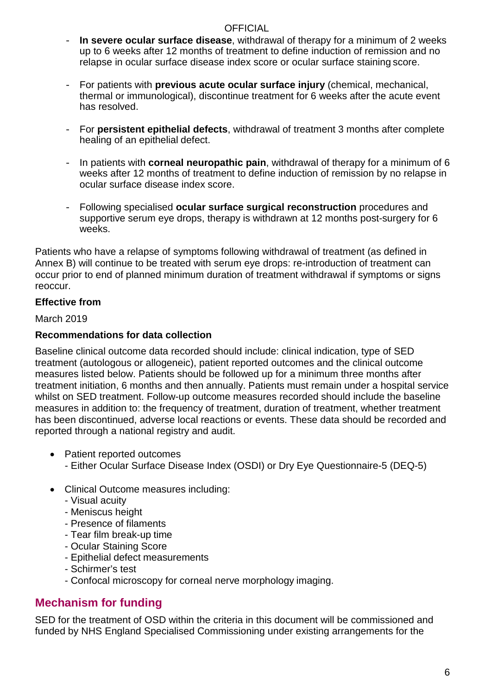- **In severe ocular surface disease**, withdrawal of therapy for a minimum of 2 weeks up to 6 weeks after 12 months of treatment to define induction of remission and no relapse in ocular surface disease index score or ocular surface staining score.
- For patients with **previous acute ocular surface injury** (chemical, mechanical, thermal or immunological), discontinue treatment for 6 weeks after the acute event has resolved.
- For **persistent epithelial defects**, withdrawal of treatment 3 months after complete healing of an epithelial defect.
- In patients with **corneal neuropathic pain**, withdrawal of therapy for a minimum of 6 weeks after 12 months of treatment to define induction of remission by no relapse in ocular surface disease index score.
- Following specialised **ocular surface surgical reconstruction** procedures and supportive serum eye drops, therapy is withdrawn at 12 months post-surgery for 6 weeks.

Patients who have a relapse of symptoms following withdrawal of treatment (as defined in Annex B) will continue to be treated with serum eye drops: re-introduction of treatment can occur prior to end of planned minimum duration of treatment withdrawal if symptoms or signs reoccur.

## **Effective from**

March 2019

### **Recommendations for data collection**

Baseline clinical outcome data recorded should include: clinical indication, type of SED treatment (autologous or allogeneic), patient reported outcomes and the clinical outcome measures listed below. Patients should be followed up for a minimum three months after treatment initiation, 6 months and then annually. Patients must remain under a hospital service whilst on SED treatment. Follow-up outcome measures recorded should include the baseline measures in addition to: the frequency of treatment, duration of treatment, whether treatment has been discontinued, adverse local reactions or events. These data should be recorded and reported through a national registry and audit.

- Patient reported outcomes
	- Either Ocular Surface Disease Index (OSDI) or Dry Eye Questionnaire-5 (DEQ-5)
- Clinical Outcome measures including:
	- Visual acuity
	- Meniscus height
	- Presence of filaments
	- Tear film break-up time
	- Ocular Staining Score
	- Epithelial defect measurements
	- Schirmer's test
	- Confocal microscopy for corneal nerve morphology imaging.

## **Mechanism for funding**

SED for the treatment of OSD within the criteria in this document will be commissioned and funded by NHS England Specialised Commissioning under existing arrangements for the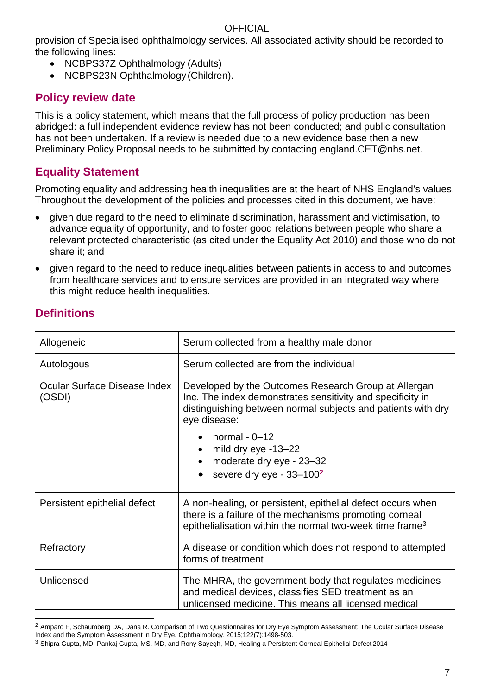provision of Specialised ophthalmology services. All associated activity should be recorded to the following lines:

- NCBPS37Z Ophthalmology (Adults)
- NCBPS23N Ophthalmology (Children).

## **Policy review date**

This is a policy statement, which means that the full process of policy production has been abridged: a full independent evidence review has not been conducted; and public consultation has not been undertaken. If a review is needed due to a new evidence base then a new Preliminary Policy Proposal needs to be submitted by contacting [england.CET@nhs.net.](mailto:england.CET@nhs.net)

## **Equality Statement**

Promoting equality and addressing health inequalities are at the heart of NHS England's values. Throughout the development of the policies and processes cited in this document, we have:

- given due regard to the need to eliminate discrimination, harassment and victimisation, to advance equality of opportunity, and to foster good relations between people who share a relevant protected characteristic (as cited under the Equality Act 2010) and those who do not share it; and
- given regard to the need to reduce inequalities between patients in access to and outcomes from healthcare services and to ensure services are provided in an integrated way where this might reduce health inequalities.

| Allogeneic                             | Serum collected from a healthy male donor                                                                                                                                                                                                                                                                        |
|----------------------------------------|------------------------------------------------------------------------------------------------------------------------------------------------------------------------------------------------------------------------------------------------------------------------------------------------------------------|
| Autologous                             | Serum collected are from the individual                                                                                                                                                                                                                                                                          |
| Ocular Surface Disease Index<br>(OSDI) | Developed by the Outcomes Research Group at Allergan<br>Inc. The index demonstrates sensitivity and specificity in<br>distinguishing between normal subjects and patients with dry<br>eye disease:<br>normal $-0$ -12<br>mild dry eye -13-22<br>moderate dry eye - 23-32<br>severe dry eye - 33-100 <sup>2</sup> |
| Persistent epithelial defect           | A non-healing, or persistent, epithelial defect occurs when<br>there is a failure of the mechanisms promoting corneal<br>epithelialisation within the normal two-week time frame <sup>3</sup>                                                                                                                    |
| Refractory                             | A disease or condition which does not respond to attempted<br>forms of treatment                                                                                                                                                                                                                                 |
| Unlicensed                             | The MHRA, the government body that regulates medicines<br>and medical devices, classifies SED treatment as an<br>unlicensed medicine. This means all licensed medical                                                                                                                                            |

## **Definitions**

<span id="page-6-0"></span><sup>&</sup>lt;sup>2</sup> Amparo F, Schaumberg DA, Dana R. Comparison of Two Questionnaires for Dry Eye Symptom Assessment: The Ocular Surface Disease Index and the Symptom Assessment in Dry Eye. Ophthalmology. 2015;122(7):1498-503.

<span id="page-6-1"></span><sup>3</sup> Shipra Gupta, MD, Pankaj Gupta, MS, MD, and Rony Sayegh, MD, Healing a Persistent Corneal Epithelial Defect 2014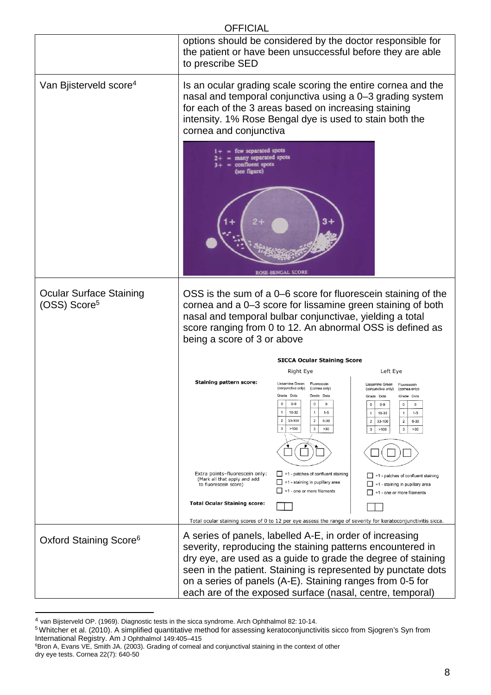|                                                            | <b>OFFICIAL</b>                                                                                                                                                                                                                                  |                                                                                                                                                                                                                                                                                                        |                                                                                                                                                                                                                                                                                                    |
|------------------------------------------------------------|--------------------------------------------------------------------------------------------------------------------------------------------------------------------------------------------------------------------------------------------------|--------------------------------------------------------------------------------------------------------------------------------------------------------------------------------------------------------------------------------------------------------------------------------------------------------|----------------------------------------------------------------------------------------------------------------------------------------------------------------------------------------------------------------------------------------------------------------------------------------------------|
|                                                            | to prescribe SED                                                                                                                                                                                                                                 |                                                                                                                                                                                                                                                                                                        | options should be considered by the doctor responsible for<br>the patient or have been unsuccessful before they are able                                                                                                                                                                           |
| Van Bjisterveld score <sup>4</sup>                         | for each of the 3 areas based on increasing staining<br>intensity. 1% Rose Bengal dye is used to stain both the<br>cornea and conjunctiva                                                                                                        |                                                                                                                                                                                                                                                                                                        | Is an ocular grading scale scoring the entire cornea and the<br>nasal and temporal conjunctiva using a 0-3 grading system                                                                                                                                                                          |
|                                                            | = few separated spots<br>many separated spots<br>confluent spots<br>(see figure)                                                                                                                                                                 | 3+<br><b>ROSE-BENGAL SCORE</b>                                                                                                                                                                                                                                                                         |                                                                                                                                                                                                                                                                                                    |
| <b>Ocular Surface Staining</b><br>(OSS) Score <sup>5</sup> | nasal and temporal bulbar conjunctivae, yielding a total<br>being a score of 3 or above                                                                                                                                                          |                                                                                                                                                                                                                                                                                                        | OSS is the sum of a 0–6 score for fluorescein staining of the<br>cornea and a 0-3 score for lissamine green staining of both<br>score ranging from 0 to 12. An abnormal OSS is defined as                                                                                                          |
|                                                            |                                                                                                                                                                                                                                                  | <b>SICCA Ocular Staining Score</b>                                                                                                                                                                                                                                                                     |                                                                                                                                                                                                                                                                                                    |
|                                                            |                                                                                                                                                                                                                                                  | <b>Right Eye</b>                                                                                                                                                                                                                                                                                       | Left Eye                                                                                                                                                                                                                                                                                           |
|                                                            | <b>Staining pattern score:</b>                                                                                                                                                                                                                   | Lissamine Green Fluorescein<br>(conjunctiva only) (cornea only)<br>Grade<br>Dots<br>Grade Dots<br>$\pmb{0}$<br>$0 - 9$<br>$\mathbf{0}$<br>$\bf{0}$<br>$\mathbf{1}$<br>$10-32$<br>$\mathbf{1}$<br>$1 - 5$<br>33-100<br>$\overline{2}$<br>$\overline{2}$<br>$6 - 30$<br>>100<br>3<br>$\mathbf{3}$<br>>30 | Lissamine Green Fluorescein<br>(conjunctiva only) (cornea only)<br>Grade Dots<br>Dots<br>Grade<br>$0 - 9$<br>$\circ$<br>$\mathbf 0$<br>$\circ$<br>10-32<br>$\overline{1}$<br>$1 - 5$<br>$\mathbf{1}$<br>$\overline{2}$<br>33-100<br>$6 - 30$<br>$\overline{2}$<br>3<br>$\mathbf{3}$<br>>100<br>>30 |
|                                                            | Extra points-fluorescein only:<br>(Mark all that apply and add<br>to fluorescein score)                                                                                                                                                          | +1 - patches of confluent staining<br>+1 - staining in pupillary area<br>+1 - one or more filaments                                                                                                                                                                                                    | +1 - patches of confluent staining<br>+1 - staining in pupillary area<br>+1 - one or more filaments                                                                                                                                                                                                |
|                                                            | <b>Total Ocular Staining score:</b>                                                                                                                                                                                                              |                                                                                                                                                                                                                                                                                                        |                                                                                                                                                                                                                                                                                                    |
|                                                            |                                                                                                                                                                                                                                                  |                                                                                                                                                                                                                                                                                                        | Total ocular staining scores of 0 to 12 per eye assess the range of severity for keratoconjunctivitis sicca.                                                                                                                                                                                       |
| Oxford Staining Score <sup>6</sup>                         | A series of panels, labelled A-E, in order of increasing<br>severity, reproducing the staining patterns encountered in<br>on a series of panels (A-E). Staining ranges from 0-5 for<br>each are of the exposed surface (nasal, centre, temporal) |                                                                                                                                                                                                                                                                                                        | dry eye, are used as a guide to grade the degree of staining<br>seen in the patient. Staining is represented by punctate dots                                                                                                                                                                      |

<span id="page-7-0"></span><sup>&</sup>lt;sup>4</sup> van Bijsterveld OP. (1969). Diagnostic tests in the sicca syndrome. Arch Ophthalmol 82: 10-14.

<sup>&</sup>lt;sup>5</sup>Whitcher et al. (2010). A simplified quantitative method for assessing keratoconjunctivitis sicco from Sjogren's Syn from

International Registry. Am J Ophthalmol 149:405–415<br><sup>6</sup>Bron A, Evans VE, Smith JA. (2003). Grading of corneal and conjunctival staining in the context of other dry eye tests. Cornea 22(7): 640-50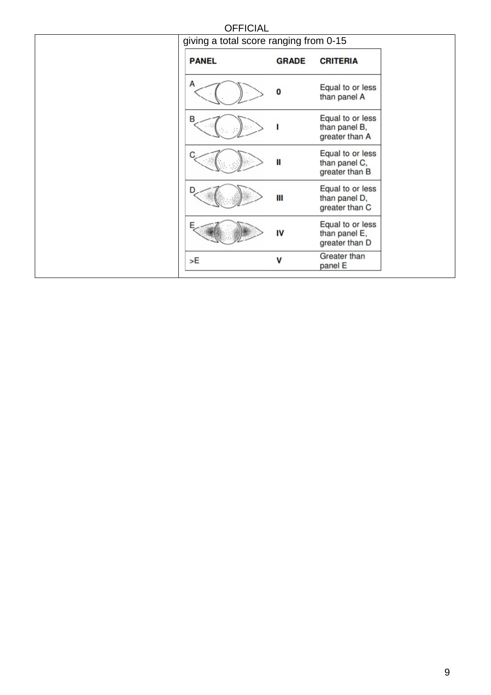| <b>OFFICIAL</b>                        |              |                                                     |
|----------------------------------------|--------------|-----------------------------------------------------|
| giving a total score ranging from 0-15 |              |                                                     |
| <b>PANEL</b>                           | <b>GRADE</b> | <b>CRITERIA</b>                                     |
| A                                      | $\bf{0}$     | Equal to or less<br>than panel A                    |
| в                                      |              | Equal to or less<br>than panel B,<br>greater than A |
|                                        | Ш            | Equal to or less<br>than panel C,<br>greater than B |
|                                        | Ш            | Equal to or less<br>than panel D,<br>greater than C |
|                                        | IV           | Equal to or less<br>than panel E,<br>greater than D |
| >E                                     | V            | <b>Greater than</b><br>panel E                      |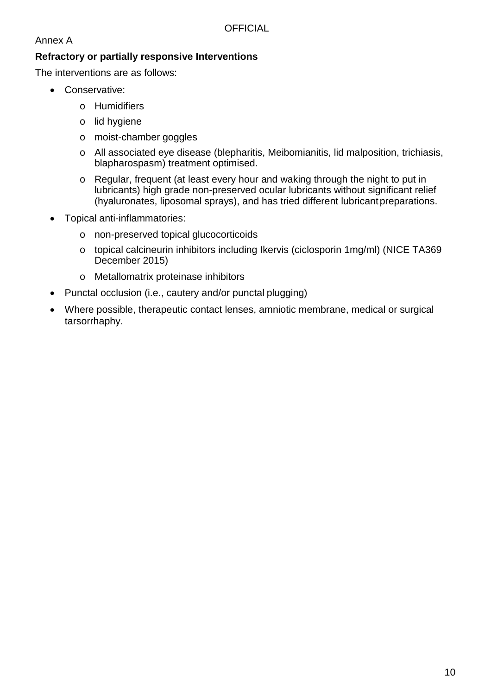## Annex A

## **Refractory or partially responsive Interventions**

The interventions are as follows:

- Conservative:
	- o Humidifiers
	- o lid hygiene
	- o moist-chamber goggles
	- o All associated eye disease (blepharitis, Meibomianitis, lid malposition, trichiasis, blapharospasm) treatment optimised.
	- o Regular, frequent (at least every hour and waking through the night to put in lubricants) high grade non-preserved ocular lubricants without significant relief (hyaluronates, liposomal sprays), and has tried different lubricantpreparations.
- Topical anti-inflammatories:
	- o non-preserved topical glucocorticoids
	- o topical calcineurin inhibitors including Ikervis (ciclosporin 1mg/ml) (NICE TA369 December 2015)
	- o Metallomatrix proteinase inhibitors
- Punctal occlusion (i.e., cautery and/or punctal plugging)
- Where possible, therapeutic contact lenses, amniotic membrane, medical or surgical tarsorrhaphy.